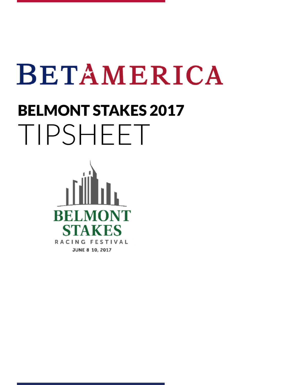# BETAMERICA

# BELMONT STAKES 2017 TIPSHEET

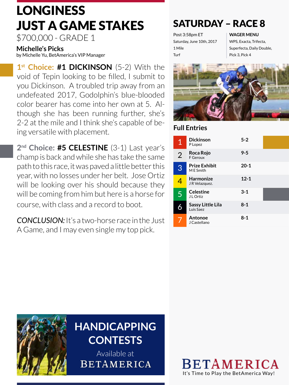## LONGINESS JUST A GAME STAKES

\$700,000 - GRADE 1

**Michelle's Picks** 

by Michelle Yu, BetAmerica's VIP Manager

1<sup>st</sup> Choice: #1 DICKINSON (5-2) With the void of Tepin looking to be filled, I submit to you Dickinson. A troubled trip away from an undefeated 2017, Godolphin's blue-blooded color bearer has come into her own at 5. Although she has been running further, she's 2-2 at the mile and I think she's capable of being versatile with placement.

**2nd Choice: #5 CELESTINE** (3-1) Last year's champ is back and while she has take the same path to this race, it was paved a little better this year, with no losses under her belt. Jose Ortiz will be looking over his should because they will be coming from him but here is a horse for course, with class and a record to boot.

*CONCLUSION:* It's a two-horse race in the Just A Game, and I may even single my top pick.

### SATURDAY – RACE 8

Post 3:58pm ET Saturday, June 10th, 2017 1 Mile Turf

**WAGER MENU**

WPS, Exacta, Trifecta, Superfecta, Daily Double, Pick 3, Pick 4



#### **Full Entries**

| $\overline{1}$ | <b>Dickinson</b><br>P Lopez       | $5 - 2$  |  |
|----------------|-----------------------------------|----------|--|
| $\overline{2}$ | Roca Rojo<br>F Geroux             | $9 - 5$  |  |
| 3              | <b>Prize Exhibit</b><br>M E Smith | $20 - 1$ |  |
| 4              | <b>Harmonize</b><br>JR Velazquez. | $12 - 1$ |  |
| 5              | <b>Celestine</b><br>J L Ortiz     | $3 - 1$  |  |
|                | Sassy Little Lila<br>Luis Saez    | $8 - 1$  |  |
|                | Antonoe<br>J Castellano           | $8 - 1$  |  |

It's Time to Play the BetAmerica Way!

**BETAMERICA** 



### <sup>15</sup> **HANDICAPPING CONTESTS**

Available at **BETAMERICA**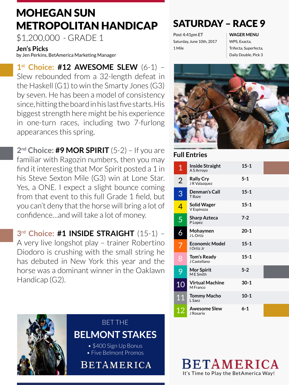### MOHEGAN SUN METROPOLITAN HANDICAP SATURDAY – RACE 9

\$1,200,000 - GRADE 1

#### **Jen's Picks**

by Jen Perkins, BetAmerica Marketing Manager

**1st Choice: #12 AWESOME SLEW** (6-1) – Slew rebounded from a 32-length defeat in the Haskell (G1) to win the Smarty Jones (G3) by seven. He has been a model of consistency since, hitting the board in his last five starts. His biggest strength here might be his experience in one-turn races, including two 7-furlong appearances this spring.

**2nd Choice: #9 MOR SPIRIT** (5-2) – If you are familiar with Ragozin numbers, then you may find it interesting that Mor Spirit posted a 1 in his Steve Sexton Mile (G3) win at Lone Star. Yes, a ONE. I expect a slight bounce coming from that event to this full Grade 1 field, but you can't deny that the horse will bring a lot of confidence…and will take a lot of money.

**3rd Choice: #1 INSIDE STRAIGHT** (15-1) – A very live longshot play – trainer Robertino Diodoro is crushing with the small string he has debuted in New York this year and the horse was a dominant winner in the Oaklawn Handicap (G2).



### BET THE **BELMONT STAKES**

- \$400 Sign Up Bonus
- Five Belmont Promos

**BETAMERICA** 

Post 4:41pm ET Saturday, June 10th, 2017 1 Mile

**WAGER MENU** WPS, Exacta, Trifecta, Superfecta, Daily Double, Pick 3



#### **Full Entries**

| $\overline{1}$ | <b>Inside Straight</b><br>A S Arrovo | $15 - 1$ |  |
|----------------|--------------------------------------|----------|--|
| $\overline{2}$ | <b>Rally Cry</b><br>J R Valazquez    | $5 - 1$  |  |
| 3              | Denman's Call<br>T Baze              | $15 - 1$ |  |
| 4              | <b>Solid Wager</b><br>V Espinoza     | $15 - 1$ |  |
| 5              | Sharp Azteca<br>P Lopez              | $7 - 2$  |  |
| 6              | Mohaymen<br>J L Ortiz                | $20 - 1$ |  |
| 7              | <b>Economic Model</b><br>I Ortiz Jr  | $15 - 1$ |  |
| 8              | <b>Tom's Ready</b><br>J Castellano   | $15 - 1$ |  |
| 9              | <b>Mor Spirit</b><br>M E Smith       | $5 - 2$  |  |
| 10             | <b>Virtual Machine</b><br>M Franco   | $30 - 1$ |  |
| 11             | <b>Tommy Macho</b><br>L Saez         | $10-1$   |  |
| 12             | <b>Awesome Slew</b><br>J Rosario     | $6 - 1$  |  |

BETAMERICA It's Time to Play the BetAmerica Way!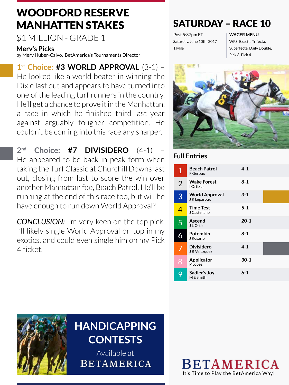### WOODFORD RESERVE MANHATTEN STAKES

\$1 MILLION - GRADE 1

#### **Merv's Picks**

by Merv Huber-Calvo, BetAmerica's Tournaments Director

**1st Choice: #3 WORLD APPROVAL** (3-1) – He looked like a world beater in winning the Dixie last out and appears to have turned into one of the leading turf runners in the country. He'll get a chance to prove it in the Manhattan, a race in which he finished third last year against arguably tougher competition. He couldn't be coming into this race any sharper.

**2nd Choice: #7 DIVISIDERO** (4-1) – He appeared to be back in peak form when taking the Turf Classic at Churchill Downs last out, closing from last to score the win over another Manhattan foe, Beach Patrol. He'll be running at the end of this race too, but will he have enough to run down World Approval?

*CONCLUSION:* I'm very keen on the top pick. I'll likely single World Approval on top in my exotics, and could even single him on my Pick 4 ticket.

#### SATURDAY – RACE 10

Post 5:37pm ET Saturday, June 10th, 2017 1 Mile

#### **WAGER MENU**

WPS, Exacta, Trifecta, Superfecta, Daily Double, Pick 3, Pick 4



#### **Full Entries**

| $\mathbf 1$             | <b>Beach Patrol</b><br>F Geroux       | $4 - 1$  |  |
|-------------------------|---------------------------------------|----------|--|
| $\overline{2}$          | <b>Wake Forest</b><br>I Ortiz Jr      | $8 - 1$  |  |
| 3                       | <b>World Approval</b><br>J R Leparoux | $3 - 1$  |  |
| $\overline{\mathbf{4}}$ | <b>Time Test</b><br>J Castellano      | $5 - 1$  |  |
| 5                       | Ascend<br>J L Ortiz                   | $20 - 1$ |  |
|                         | Potemkin<br>J Rosario                 | $8 - 1$  |  |
| 7                       | <b>Divisidero</b><br>JR Velazquez     | $4 - 1$  |  |
| 8                       | Applicator<br>P Lopez                 | $30 - 1$ |  |
| 9                       | Sadler's Joy<br>M E Smith             | $6 - 1$  |  |



### **HANDICAPPING CONTESTS**

Available at**BETAMERICA**